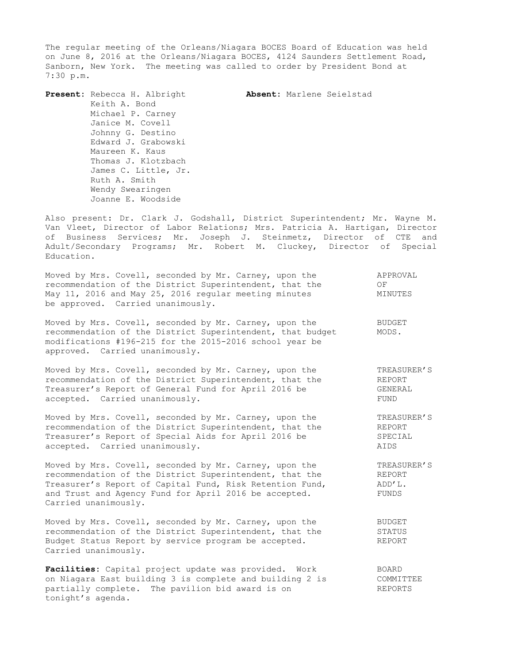The regular meeting of the Orleans/Niagara BOCES Board of Education was held on June 8, 2016 at the Orleans/Niagara BOCES, 4124 Saunders Settlement Road, Sanborn, New York. The meeting was called to order by President Bond at 7:30 p.m.

**Present:** Rebecca H. Albright **Absent:** Marlene Seielstad Keith A. Bond Michael P. Carney Janice M. Covell Johnny G. Destino Edward J. Grabowski Maureen K. Kaus Thomas J. Klotzbach James C. Little, Jr. Ruth A. Smith Wendy Swearingen Joanne E. Woodside

Also present: Dr. Clark J. Godshall, District Superintendent; Mr. Wayne M. Van Vleet, Director of Labor Relations; Mrs. Patricia A. Hartigan, Director of Business Services; Mr. Joseph J. Steinmetz, Director of CTE and Adult/Secondary Programs; Mr. Robert M. Cluckey, Director of Special Education.

| Moved by Mrs. Covell, seconded by Mr. Carney, upon the<br>recommendation of the District Superintendent, that the<br>May 11, 2016 and May 25, 2016 regular meeting minutes<br>be approved. Carried unanimously.                                                | APPROVAL<br>ΟF<br>MINUTES                |
|----------------------------------------------------------------------------------------------------------------------------------------------------------------------------------------------------------------------------------------------------------------|------------------------------------------|
| Moved by Mrs. Covell, seconded by Mr. Carney, upon the<br>recommendation of the District Superintendent, that budget<br>modifications #196-215 for the 2015-2016 school year be<br>approved. Carried unanimously.                                              | <b>BUDGET</b><br>MODS.                   |
| Moved by Mrs. Covell, seconded by Mr. Carney, upon the<br>recommendation of the District Superintendent, that the<br>Treasurer's Report of General Fund for April 2016 be<br>accepted. Carried unanimously.                                                    | TREASURER'S<br>REPORT<br>GENERAL<br>FUND |
| Moved by Mrs. Covell, seconded by Mr. Carney, upon the<br>recommendation of the District Superintendent, that the<br>Treasurer's Report of Special Aids for April 2016 be<br>accepted. Carried unanimously.                                                    | TREASURER'S<br>REPORT<br>SPECIAL<br>AIDS |
| Moved by Mrs. Covell, seconded by Mr. Carney, upon the<br>recommendation of the District Superintendent, that the<br>Treasurer's Report of Capital Fund, Risk Retention Fund,<br>and Trust and Agency Fund for April 2016 be accepted.<br>Carried unanimously. | TREASURER'S<br>REPORT<br>ADD'L.<br>FUNDS |
| Moved by Mrs. Covell, seconded by Mr. Carney, upon the<br>recommendation of the District Superintendent, that the<br>Budget Status Report by service program be accepted.<br>Carried unanimously.                                                              | <b>BUDGET</b><br>STATUS<br>REPORT        |
| Facilities: Capital project update was provided.<br>Work                                                                                                                                                                                                       | <b>BOARD</b>                             |

on Niagara East building 3 is complete and building 2 is COMMITTEE partially complete. The pavilion bid award is on The REPORTS tonight's agenda.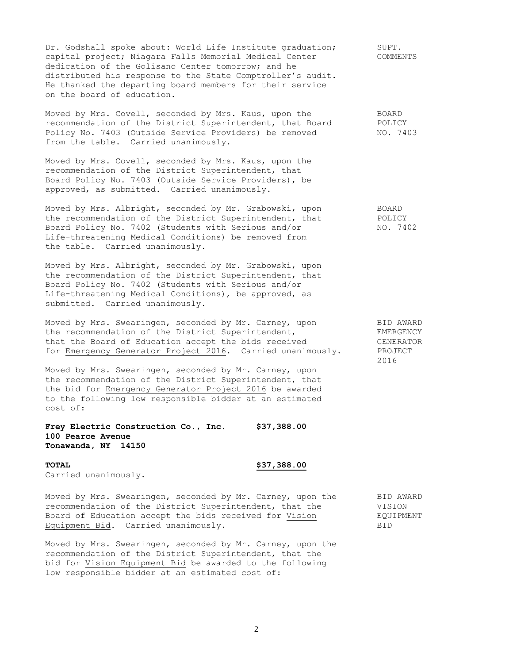Dr. Godshall spoke about: World Life Institute graduation; SUPT. capital project; Niagara Falls Memorial Medical Center COMMENTS dedication of the Golisano Center tomorrow; and he distributed his response to the State Comptroller's audit. He thanked the departing board members for their service on the board of education.

Moved by Mrs. Covell, seconded by Mrs. Kaus, upon the BOARD recommendation of the District Superintendent, that Board POLICY<br>Policy No. 7403 (Outside Service Providers) be removed NO. 7403 Policy No. 7403 (Outside Service Providers) be removed from the table. Carried unanimously.

Moved by Mrs. Covell, seconded by Mrs. Kaus, upon the recommendation of the District Superintendent, that Board Policy No. 7403 (Outside Service Providers), be approved, as submitted. Carried unanimously.

Moved by Mrs. Albright, seconded by Mr. Grabowski, upon BOARD the recommendation of the District Superintendent, that POLICY Board Policy No. 7402 (Students with Serious and/or NO. 7402 Life-threatening Medical Conditions) be removed from the table. Carried unanimously.

Moved by Mrs. Albright, seconded by Mr. Grabowski, upon the recommendation of the District Superintendent, that Board Policy No. 7402 (Students with Serious and/or Life-threatening Medical Conditions), be approved, as submitted. Carried unanimously.

Moved by Mrs. Swearingen, seconded by Mr. Carney, upon BID AWARD the recommendation of the District Superintendent, The EMERGENCY that the Board of Education accept the bids received GENERATOR for Emergency Generator Project 2016. Carried unanimously. PROJECT

Moved by Mrs. Swearingen, seconded by Mr. Carney, upon the recommendation of the District Superintendent, that the bid for Emergency Generator Project 2016 be awarded to the following low responsible bidder at an estimated cost of:

## **Frey Electric Construction Co., Inc. \$37,388.00 100 Pearce Avenue Tonawanda, NY 14150**

## **TOTAL \$37,388.00**

Carried unanimously.

Moved by Mrs. Swearingen, seconded by Mr. Carney, upon the BID AWARD recommendation of the District Superintendent, that the VISION Board of Education accept the bids received for Vision EQUIPMENT Equipment Bid. Carried unanimously. The contract of the BID

Moved by Mrs. Swearingen, seconded by Mr. Carney, upon the recommendation of the District Superintendent, that the bid for Vision Equipment Bid be awarded to the following low responsible bidder at an estimated cost of:

2016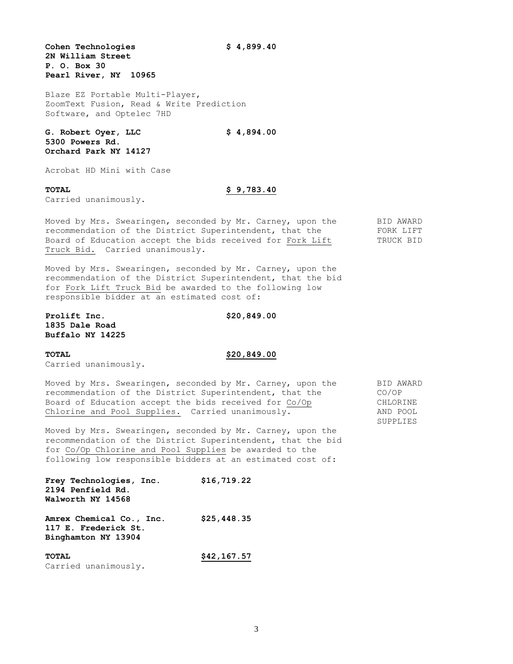**Cohen Technologies \$ 4,899.40 2N William Street P. O. Box 30 Pearl River, NY 10965**

Blaze EZ Portable Multi-Player, ZoomText Fusion, Read & Write Prediction Software, and Optelec 7HD

**G. Robert Oyer, LLC \$ 4,894.00 5300 Powers Rd. Orchard Park NY 14127**

Acrobat HD Mini with Case

# **TOTAL \$ 9,783.40**

Carried unanimously.

Moved by Mrs. Swearingen, seconded by Mr. Carney, upon the BID AWARD recommendation of the District Superintendent, that the FORK LIFT Board of Education accept the bids received for Fork Lift TRUCK BID Truck Bid. Carried unanimously.

Moved by Mrs. Swearingen, seconded by Mr. Carney, upon the recommendation of the District Superintendent, that the bid for Fork Lift Truck Bid be awarded to the following low responsible bidder at an estimated cost of:

**Prolift Inc.** \$20,849.00 **1835 Dale Road Buffalo NY 14225**

# **TOTAL \$20,849.00**

Carried unanimously.

Moved by Mrs. Swearingen, seconded by Mr. Carney, upon the BID AWARD recommendation of the District Superintendent, that the CO/OP<br>Board of Education accept the bids received for Co/Op CHLORINE Board of Education accept the bids received for Co/Op<br>Coard of Education accept the bids received for Co/Op Chlorine and Pool Supplies. Carried unanimously. AND POOL

Moved by Mrs. Swearingen, seconded by Mr. Carney, upon the recommendation of the District Superintendent, that the bid for Co/Op Chlorine and Pool Supplies be awarded to the following low responsible bidders at an estimated cost of:

| Frey Technologies, Inc.                                                 | \$16,719.22 |
|-------------------------------------------------------------------------|-------------|
| 2194 Penfield Rd.                                                       |             |
| Walworth NY 14568                                                       |             |
| Amrex Chemical Co., Inc.<br>117 E. Frederick St.<br>Binghamton NY 13904 | \$25,448.35 |

**TOTAL \$42,167.57** Carried unanimously.

SUPPLIES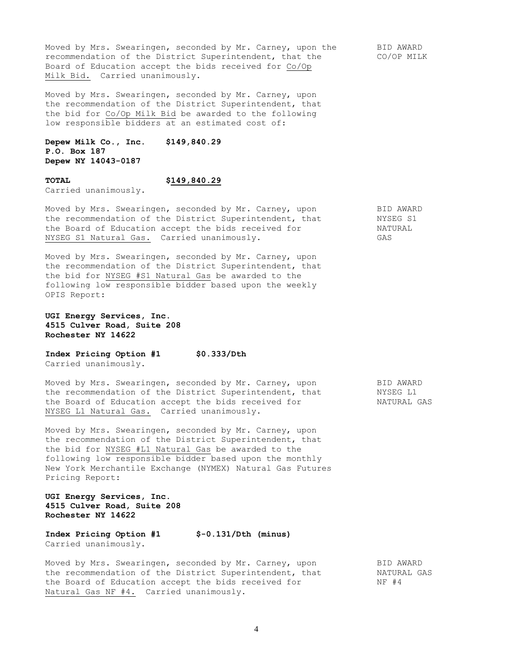Moved by Mrs. Swearingen, seconded by Mr. Carney, upon the BID AWARD recommendation of the District Superintendent, that the CO/OP MILK Board of Education accept the bids received for Co/Op Milk Bid. Carried unanimously.

Moved by Mrs. Swearingen, seconded by Mr. Carney, upon the recommendation of the District Superintendent, that the bid for Co/Op Milk Bid be awarded to the following low responsible bidders at an estimated cost of:

**Depew Milk Co., Inc. \$149,840.29 P.O. Box 187 Depew NY 14043-0187**

Carried unanimously.

**TOTAL \$149,840.29**

Moved by Mrs. Swearingen, seconded by Mr. Carney, upon BID AWARD the recommendation of the District Superintendent, that MYSEG S1 the Board of Education accept the bids received for MATURAL NYSEG S1 Natural Gas. Carried unanimously. GAS

Moved by Mrs. Swearingen, seconded by Mr. Carney, upon the recommendation of the District Superintendent, that the bid for NYSEG #S1 Natural Gas be awarded to the following low responsible bidder based upon the weekly OPIS Report:

## **UGI Energy Services, Inc. 4515 Culver Road, Suite 208 Rochester NY 14622**

**Index Pricing Option #1 \$0.333/Dth**  Carried unanimously.

Moved by Mrs. Swearingen, seconded by Mr. Carney, upon BID AWARD the recommendation of the District Superintendent, that MYSEG L1 the Board of Education accept the bids received for NATURAL GAS NYSEG L1 Natural Gas. Carried unanimously.

Moved by Mrs. Swearingen, seconded by Mr. Carney, upon the recommendation of the District Superintendent, that the bid for NYSEG #L1 Natural Gas be awarded to the following low responsible bidder based upon the monthly New York Merchantile Exchange (NYMEX) Natural Gas Futures Pricing Report:

**UGI Energy Services, Inc. 4515 Culver Road, Suite 208 Rochester NY 14622**

**Index Pricing Option #1 \$-0.131/Dth (minus)** Carried unanimously.

Moved by Mrs. Swearingen, seconded by Mr. Carney, upon BID AWARD the recommendation of the District Superintendent, that MATURAL GAS the Board of Education accept the bids received for MF #4 Natural Gas NF #4. Carried unanimously.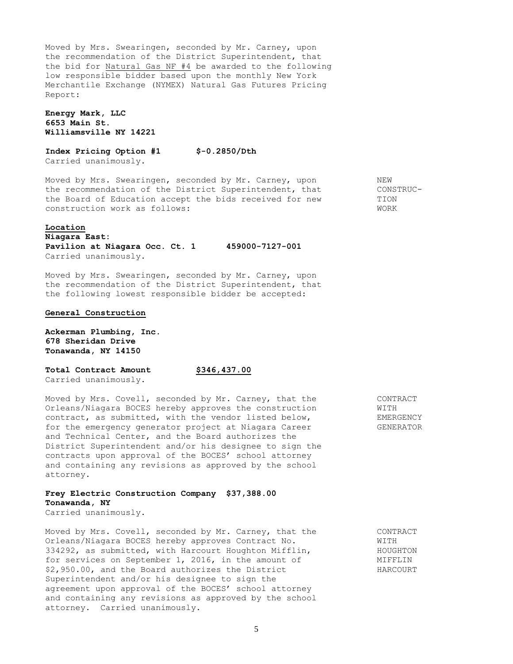Moved by Mrs. Swearingen, seconded by Mr. Carney, upon the recommendation of the District Superintendent, that the bid for Natural Gas NF #4 be awarded to the following low responsible bidder based upon the monthly New York Merchantile Exchange (NYMEX) Natural Gas Futures Pricing Report:

# **Energy Mark, LLC 6653 Main St. Williamsville NY 14221**

**Index Pricing Option #1 \$-0.2850/Dth**  Carried unanimously.

Moved by Mrs. Swearingen, seconded by Mr. Carney, upon NEW the recommendation of the District Superintendent, that CONSTRUC-<br>the Board of Education accept the bids received for new TION the Board of Education accept the bids received for new construction work as follows: WORK

### **Location**

**Niagara East: Pavilion at Niagara Occ. Ct. 1 459000-7127-001** Carried unanimously.

Moved by Mrs. Swearingen, seconded by Mr. Carney, upon the recommendation of the District Superintendent, that the following lowest responsible bidder be accepted:

# **General Construction**

**Ackerman Plumbing, Inc. 678 Sheridan Drive Tonawanda, NY 14150**

**Total Contract Amount \$346,437.00**

Carried unanimously.

Moved by Mrs. Covell, seconded by Mr. Carney, that the CONTRACT Orleans/Niagara BOCES hereby approves the construction  $WITH$ contract, as submitted, with the vendor listed below, EMERGENCY for the emergency generator project at Niagara Career GENERATOR and Technical Center, and the Board authorizes the District Superintendent and/or his designee to sign the contracts upon approval of the BOCES' school attorney and containing any revisions as approved by the school attorney.

# **Frey Electric Construction Company \$37,388.00 Tonawanda, NY**

Carried unanimously.

Moved by Mrs. Covell, seconded by Mr. Carney, that the CONTRACT Orleans/Niagara BOCES hereby approves Contract No.  $\text{WITH}$ 334292, as submitted, with Harcourt Houghton Mifflin, HOUGHTON for services on September 1, 2016, in the amount of MIFFLIN \$2,950.00, and the Board authorizes the District HARCOURT Superintendent and/or his designee to sign the agreement upon approval of the BOCES' school attorney and containing any revisions as approved by the school attorney. Carried unanimously.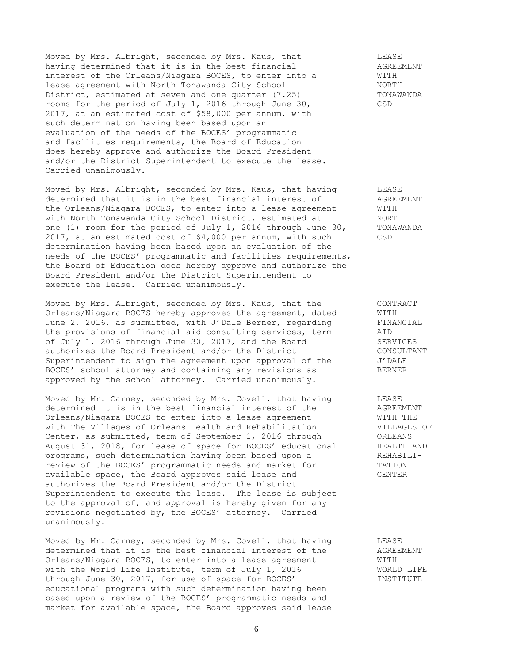Moved by Mrs. Albright, seconded by Mrs. Kaus, that LEASE<br>
having determined that it is in the best financial AGREEMENT<br>
interest of the Orleans/Niagara BOCES, to enter into a WITH having determined that it is in the best financial interest of the Orleans/Niagara BOCES, to enter into a lease agreement with North Tonawanda City School NORTH District, estimated at seven and one quarter (7.25) TONAWANDA rooms for the period of July 1, 2016 through June 30, CSD 2017, at an estimated cost of \$58,000 per annum, with such determination having been based upon an evaluation of the needs of the BOCES' programmatic and facilities requirements, the Board of Education does hereby approve and authorize the Board President and/or the District Superintendent to execute the lease. Carried unanimously.

Moved by Mrs. Albright, seconded by Mrs. Kaus, that having LEASE<br>determined that it is in the best financial interest of AGREEMENT<br>the Orleans/Niagara BOCES, to enter into a lease agreement WITH determined that it is in the best financial interest of the Orleans/Niagara BOCES, to enter into a lease agreement WITH<br>with North Tonawanda City School District, estimated at MORTH with North Tonawanda City School District, estimated at one (1) room for the period of July 1, 2016 through June 30, TONAWANDA 2017, at an estimated cost of \$4,000 per annum, with such CSD determination having been based upon an evaluation of the needs of the BOCES' programmatic and facilities requirements, the Board of Education does hereby approve and authorize the Board President and/or the District Superintendent to execute the lease. Carried unanimously.

Moved by Mrs. Albright, seconded by Mrs. Kaus, that the CONTRACT Orleans/Niagara BOCES hereby approves the agreement, dated WITH<br>June 2, 2016, as submitted, with J'Dale Berner, regarding FINANCIAL<br>the provisions of financial aid consulting services, term AID June 2, 2016, as submitted, with J'Dale Berner, regarding the provisions of financial aid consulting services, term of July 1, 2016 through June 30, 2017, and the Board SERVICES<br>
SERVICES authorizes the Board President and/or the District CONSULTANT Superintendent to sign the agreement upon approval of the  $J'$  DALE BOCES' school attorney and containing any revisions as BERNER approved by the school attorney. Carried unanimously.

Moved by Mr. Carney, seconded by Mrs. Covell, that having LEASE<br>determined it is in the best financial interest of the AGREEMENT determined it is in the best financial interest of the Orleans/Niagara BOCES to enter into a lease agreement WITH THE with The Villages of Orleans Health and Rehabilitation **VILLAGES OF** Center, as submitted, term of September 1, 2016 through ORLEANS August 31, 2018, for lease of space for BOCES' educational HEALTH AND programs, such determination having been based upon a REHABILIreview of the BOCES' programmatic needs and market for TATION available space, the Board approves said lease and CENTER authorizes the Board President and/or the District Superintendent to execute the lease. The lease is subject to the approval of, and approval is hereby given for any revisions negotiated by, the BOCES' attorney. Carried unanimously.

Moved by Mr. Carney, seconded by Mrs. Covell, that having LEASE Moved by  $m$ . Calley, Secondon by  $m$ , Secondon by  $\frac{1}{2}$  and  $\frac{1}{2}$  agreement determined that it is the best financial interest of the Orleans/Niagara BOCES, to enter into a lease agreement WITH With the World Life Institute, term of July 1, 2016 WORLD LIFE through June 30, 2017, for use of space for BOCES' INSTITUTE educational programs with such determination having been based upon a review of the BOCES' programmatic needs and market for available space, the Board approves said lease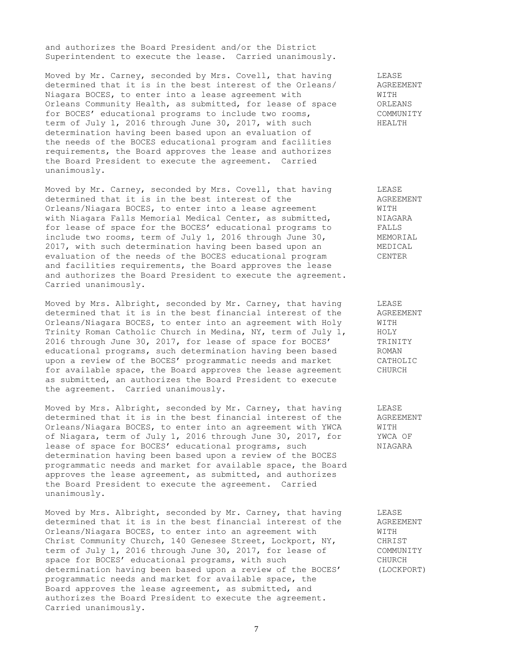and authorizes the Board President and/or the District Superintendent to execute the lease. Carried unanimously.

Moved by Mr. Carney, seconded by Mrs. Covell, that having THEASE<br>determined that it is in the best interest of the Orleans/ AGREFNENT determined that it is in the best interest of the Orleans/ Niagara BOCES, to enter into a lease agreement with WITH Orleans Community Health, as submitted, for lease of space ORLEANS for BOCES' educational programs to include two rooms, COMMUNITY term of July 1, 2016 through June 30, 2017, with such HEALTH determination having been based upon an evaluation of the needs of the BOCES educational program and facilities requirements, the Board approves the lease and authorizes the Board President to execute the agreement. Carried unanimously.

Moved by Mr. Carney, seconded by Mrs. Covell, that having LEASE determined that it is in the best interest of the AGREEMENT Orleans/Niagara BOCES, to enter into a lease agreement WITH with Niagara Falls Memorial Medical Center, as submitted, MIAGARA for lease of space for the BOCES' educational programs to FALLS include two rooms, term of July 1, 2016 through June 30, MEMORIAL 2017, with such determination having been based upon an MEDICAL evaluation of the needs of the BOCES educational program CENTER and facilities requirements, the Board approves the lease and authorizes the Board President to execute the agreement. Carried unanimously.

Moved by Mrs. Albright, seconded by Mr. Carney, that having LEASE determined that it is in the best financial interest of the AGREEMENT<br>Orleans/Niagara BOCES, to enter into an agreement with Holy WITH Orleans/Niagara BOCES, to enter into an agreement with Holy WITH<br>Trinity Roman Catholic Church in Medina, NY, term of July 1, HOLY Trinity Roman Catholic Church in Medina, NY, term of July 1, 2016 through June 30, 2017, for lease of space for BOCES' TRINITY educational programs, such determination having been based ROMAN upon a review of the BOCES' programmatic needs and market CATHOLIC for available space, the Board approves the lease agreement CHURCH as submitted, an authorizes the Board President to execute the agreement. Carried unanimously.

Moved by Mrs. Albright, seconded by Mr. Carney, that having LEASE determined that it is in the best financial interest of the AGREEMENT Orleans/Niagara BOCES, to enter into an agreement with YWCA WITH of Niagara, term of July 1, 2016 through June 30, 2017, for YWCA OF lease of space for BOCES' educational programs, such NIAGARA determination having been based upon a review of the BOCES programmatic needs and market for available space, the Board approves the lease agreement, as submitted, and authorizes the Board President to execute the agreement. Carried unanimously.

Moved by Mrs. Albright, seconded by Mr. Carney, that having LEASE determined that it is in the best financial interest of the AGREEMENT Orleans/Niagara BOCES, to enter into an agreement with WITH WITH Christ Community Church, 140 Genesee Street, Lockport, NY, CHRIST Christ Community Church, 140 Genesee Street, Lockport, NY, term of July 1, 2016 through June 30, 2017, for lease of COMMUNITY space for BOCES' educational programs, with such CHURCH determination having been based upon a review of the BOCES' (LOCKPORT) programmatic needs and market for available space, the Board approves the lease agreement, as submitted, and authorizes the Board President to execute the agreement. Carried unanimously.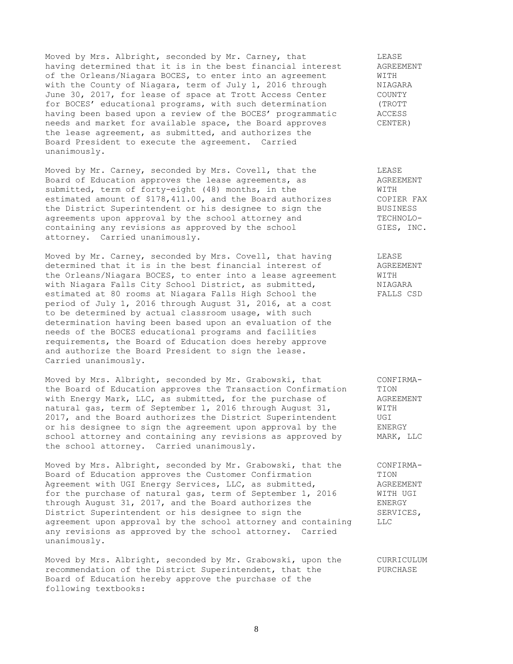Moved by Mrs. Albright, seconded by Mr. Carney, that THEASE LEASE LEASE<br>having determined that it is in the best financial interest AGREEMENT having determined that it is in the best financial interest of the Orleans/Niagara BOCES, to enter into an agreement WITH<br>with the County of Niagara, term of July 1, 2016 through MIAGARA with the County of Niagara, term of July 1, 2016 through NIAGAR.<br>June 30, 2017, for lease of space at Trott Access Center COUNTY June 30, 2017, for lease of space at Trott Access Center for BOCES' educational programs, with such determination (TROTT having been based upon a review of the BOCES' programmatic ACCESS needs and market for available space, the Board approves CENTER) the lease agreement, as submitted, and authorizes the Board President to execute the agreement. Carried unanimously.

Moved by Mr. Carney, seconded by Mrs. Covell, that the LEASE Board of Education approves the lease agreements, as AGREEMENT submitted, term of forty-eight (48) months, in the WITH estimated amount of \$178,411.00, and the Board authorizes COPIER FAX the District Superintendent or his designee to sign the BUSINESS the District superintendent of nic door given by the school attorney and TECHNOLO-<br>agreements upon approval by the school attorney and TECHNOLOcontaining any revisions as approved by the school GIES, INC. attorney. Carried unanimously.

Moved by Mr. Carney, seconded by Mrs. Covell, that having TEASE determined that it is in the best financial interest of AGREEMENT the Orleans/Niagara BOCES, to enter into a lease agreement WITH with Niagara Falls City School District, as submitted, MIAGARA estimated at 80 rooms at Niagara Falls High School the FALLS CSD period of July 1, 2016 through August 31, 2016, at a cost to be determined by actual classroom usage, with such determination having been based upon an evaluation of the needs of the BOCES educational programs and facilities requirements, the Board of Education does hereby approve and authorize the Board President to sign the lease. Carried unanimously.

Moved by Mrs. Albright, seconded by Mr. Grabowski, that CONFIRMAthe Board of Education approves the Transaction Confirmation TION with Energy Mark, LLC, as submitted, for the purchase of AGREEMENT natural gas, term of September 1, 2016 through August 31, WITH 2017, and the Board authorizes the District Superintendent UGI or his designee to sign the agreement upon approval by the ENERGY school attorney and containing any revisions as approved by MARK, LLC the school attorney. Carried unanimously.

Moved by Mrs. Albright, seconded by Mr. Grabowski, that the CONFIRMA-Board of Education approves the Customer Confirmation TION Agreement with UGI Energy Services, LLC, as submitted,  $A$ GREEMENT for the purchase of natural gas, term of September 1, 2016 WITH UGI through August 31, 2017, and the Board authorizes the ENERGY District Superintendent or his designee to sign the SERVICES, agreement upon approval by the school attorney and containing LLC any revisions as approved by the school attorney. Carried unanimously.

Moved by Mrs. Albright, seconded by Mr. Grabowski, upon the CURRICULUM recommendation of the District Superintendent, that the PURCHASE Board of Education hereby approve the purchase of the following textbooks: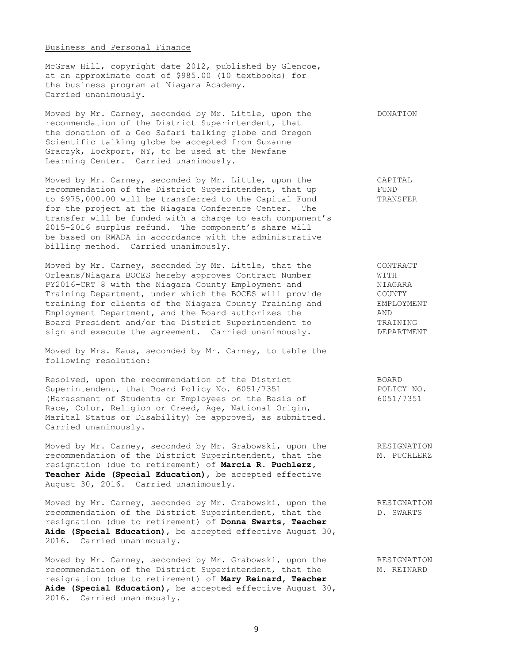### Business and Personal Finance

McGraw Hill, copyright date 2012, published by Glencoe, at an approximate cost of \$985.00 (10 textbooks) for the business program at Niagara Academy. Carried unanimously.

Moved by Mr. Carney, seconded by Mr. Little, upon the DONATION recommendation of the District Superintendent, that the donation of a Geo Safari talking globe and Oregon Scientific talking globe be accepted from Suzanne Graczyk, Lockport, NY, to be used at the Newfane Learning Center. Carried unanimously.

Moved by Mr. Carney, seconded by Mr. Little, upon the CAPITAL recommendation of the District Superintendent, that up FUND to \$975,000.00 will be transferred to the Capital Fund TRANSFER for the project at the Niagara Conference Center. The transfer will be funded with a charge to each component's 2015-2016 surplus refund. The component's share will be based on RWADA in accordance with the administrative billing method. Carried unanimously.

Moved by Mr. Carney, seconded by Mr. Little, that the CONTRACT Orleans/Niagara BOCES hereby approves Contract Number WITH PY2016-CRT 8 with the Niagara County Employment and NIAGARA Training Department, under which the BOCES will provide COUNTY training for clients of the Niagara County Training and EMPLOYMENT Employment Department, and the Board authorizes the MND Board President and/or the District Superintendent to TRAINING<br>sign and execute the agreement. Carried unanimously. DEPARTMENT sign and execute the agreement. Carried unanimously.

Moved by Mrs. Kaus, seconded by Mr. Carney, to table the following resolution:

Resolved, upon the recommendation of the District BOARD Superintendent, that Board Policy No. 6051/7351 POLICY NO. (Harassment of Students or Employees on the Basis of 6051/7351 Race, Color, Religion or Creed, Age, National Origin, Marital Status or Disability) be approved, as submitted. Carried unanimously.

Moved by Mr. Carney, seconded by Mr. Grabowski, upon the RESIGNATION recommendation of the District Superintendent, that the M. PUCHLERZ recommendation of the District Superintendent, that the resignation (due to retirement) of **Marcia R. Puchlerz, Teacher Aide (Special Education)**, be accepted effective August 30, 2016. Carried unanimously.

Moved by Mr. Carney, seconded by Mr. Grabowski, upon the RESIGNATION recommendation of the District Superintendent, that the D. SWARTS resignation (due to retirement) of **Donna Swarts, Teacher Aide (Special Education)**, be accepted effective August 30, 2016. Carried unanimously.

Moved by Mr. Carney, seconded by Mr. Grabowski, upon the RESIGNATION recommendation of the District Superintendent, that the M. REINARD resignation (due to retirement) of **Mary Reinard, Teacher Aide (Special Education)**, be accepted effective August 30, 2016. Carried unanimously.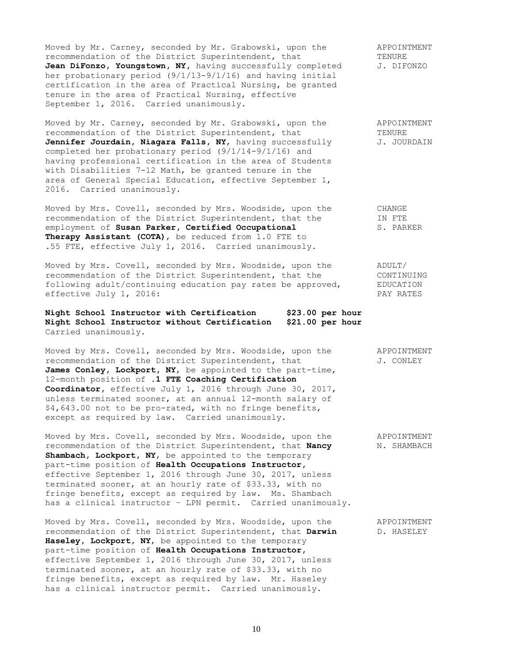Moved by Mr. Carney, seconded by Mr. Grabowski, upon the APPOINTMENT recommendation of the District Superintendent, that TENURE TENURE<br> **Jean DiFonzo, Youngstown, NY,** having successfully completed J. DIFONZO Jean DiFonzo, Youngstown, NY, having successfully completed her probationary period (9/1/13-9/1/16) and having initial certification in the area of Practical Nursing, be granted tenure in the area of Practical Nursing, effective September 1, 2016. Carried unanimously.

Moved by Mr. Carney, seconded by Mr. Grabowski, upon the APPOINTMENT recommendation of the District Superintendent, that TENURE<br> **Jennifer Jourdain, Niagara Falls, NY,** having successfully J. JOURDAIN Jennifer Jourdain, Niagara Falls, NY, having successfully completed her probationary period (9/1/14-9/1/16) and having professional certification in the area of Students with Disabilities 7-12 Math, be granted tenure in the area of General Special Education, effective September 1, 2016. Carried unanimously.

Moved by Mrs. Covell, seconded by Mrs. Woodside, upon the CHANGE recommendation of the District Superintendent, that the TN FTE recommendation of the District Superintendent, that the employment of **Susan Parker, Certified Occupational** S. PARKER **Therapy Assistant (COTA)**, be reduced from 1.0 FTE to .55 FTE, effective July 1, 2016. Carried unanimously.

Moved by Mrs. Covell, seconded by Mrs. Woodside, upon the ADULT/ recommendation of the District Superintendent, that the CONTINUING following adult/continuing education pay rates be approved, EDUCATION effective July 1, 2016: PAY RATES

**Night School Instructor with Certification \$23.00 per hour Night School Instructor without Certification \$21.00 per hour** Carried unanimously.

Moved by Mrs. Covell, seconded by Mrs. Woodside, upon the APPOINTMENT recommendation of the District Superintendent, that  $J.$  CONLEY James Conley, Lockport, NY, be appointed to the part-time, 12-month position of **.1 FTE Coaching Certification Coordinator,** effective July 1, 2016 through June 30, 2017, unless terminated sooner, at an annual 12-month salary of \$4,643.00 not to be pro-rated, with no fringe benefits, except as required by law. Carried unanimously.

Moved by Mrs. Covell, seconded by Mrs. Woodside, upon the APPOINTMENT<br>recommendation of the District Superintendent, that **Nancy** N. SHAMBACH recommendation of the District Superintendent, that Nancy Shambach, Lockport, NY, be appointed to the temporary part-time position of **Health Occupations Instructor,** effective September 1, 2016 through June 30, 2017, unless terminated sooner, at an hourly rate of \$33.33, with no fringe benefits, except as required by law. Ms. Shambach has a clinical instructor – LPN permit. Carried unanimously.

Moved by Mrs. Covell, seconded by Mrs. Woodside, upon the APPOINTMENT recommendation of the District Superintendent, that **Darwin** D. HASELEY **Haseley, Lockport, NY**, be appointed to the temporary part-time position of **Health Occupations Instructor,** effective September 1, 2016 through June 30, 2017, unless terminated sooner, at an hourly rate of \$33.33, with no fringe benefits, except as required by law. Mr. Haseley has a clinical instructor permit. Carried unanimously.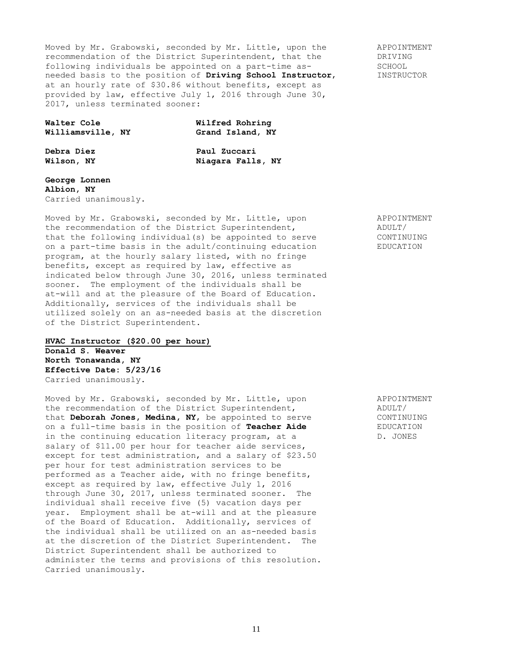Moved by Mr. Grabowski, seconded by Mr. Little, upon the APPOINTMENT<br>recommendation of the District Superintendent, that the DRIVING recommendation of the District Superintendent, that the DRIVING<br>
following individuals be appointed on a part-time as-<br>
SCHOOL following individuals be appointed on a part-time as-<br>
needed basis to the position of **Driving School Instructor**, TNSTRUCTOR needed basis to the position of Driving School Instructor, at an hourly rate of \$30.86 without benefits, except as provided by law, effective July 1, 2016 through June 30, 2017, unless terminated sooner:

| Walter Cole       |  | Wilfred Rohring |                  |  |  |
|-------------------|--|-----------------|------------------|--|--|
| Williamsville, NY |  |                 | Grand Island, NY |  |  |

**Debra Diez Paul Zuccari Wilson, NY Niagara Falls, NY**

**George Lonnen Albion, NY** Carried unanimously.

Moved by Mr. Grabowski, seconded by Mr. Little, upon APPOINTMENT the recommendation of the District Superintendent, ADULT/ that the following individual(s) be appointed to serve CONTINUING on a part-time basis in the adult/continuing education EDUCATION program, at the hourly salary listed, with no fringe benefits, except as required by law, effective as indicated below through June 30, 2016, unless terminated sooner. The employment of the individuals shall be at-will and at the pleasure of the Board of Education. Additionally, services of the individuals shall be utilized solely on an as-needed basis at the discretion of the District Superintendent.

# **HVAC Instructor (\$20.00 per hour)**

**Donald S. Weaver North Tonawanda, NY Effective Date: 5/23/16** Carried unanimously.

Moved by Mr. Grabowski, seconded by Mr. Little, upon APPOINTMENT the recommendation of the District Superintendent, ADULT/ that **Deborah Jones, Medina, NY,** be appointed to serve CONTINUING on a full-time basis in the position of **Teacher Aide** EDUCATION in the continuing education literacy program, at a  $D.$  JONES salary of \$11.00 per hour for teacher aide services, except for test administration, and a salary of \$23.50 per hour for test administration services to be performed as a Teacher aide, with no fringe benefits, except as required by law, effective July 1, 2016 through June 30, 2017, unless terminated sooner. The individual shall receive five (5) vacation days per year. Employment shall be at-will and at the pleasure of the Board of Education. Additionally, services of the individual shall be utilized on an as-needed basis at the discretion of the District Superintendent. The District Superintendent shall be authorized to administer the terms and provisions of this resolution. Carried unanimously.

11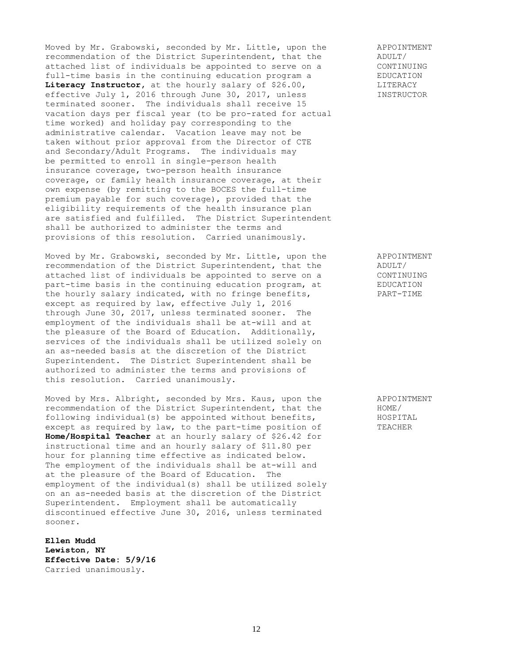Moved by Mr. Grabowski, seconded by Mr. Little, upon the APPOINTMENT<br>recommendation of the District Superintendent, that the ADULT/ recommendation of the District Superintendent, that the  $ADULT/$ <br>attached list of individuals be appointed to serve on a CONTINUING attached list of individuals be appointed to serve on a CONTINUING<br>full-time basis in the continuing education program a EDUCATION full-time basis in the continuing education program a EDUCATION EDUCATION EDUCATION Literacy Instructor, at the hourly salary of \$26.00, effective July 1, 2016 through June 30, 2017, unless **INSTRUCTOR** terminated sooner. The individuals shall receive 15 vacation days per fiscal year (to be pro-rated for actual time worked) and holiday pay corresponding to the administrative calendar. Vacation leave may not be taken without prior approval from the Director of CTE and Secondary/Adult Programs. The individuals may be permitted to enroll in single-person health insurance coverage, two-person health insurance coverage, or family health insurance coverage, at their own expense (by remitting to the BOCES the full-time premium payable for such coverage), provided that the eligibility requirements of the health insurance plan are satisfied and fulfilled. The District Superintendent shall be authorized to administer the terms and provisions of this resolution. Carried unanimously.

Moved by Mr. Grabowski, seconded by Mr. Little, upon the APPOINTMENT recommendation of the District Superintendent, that the ADULT/ attached list of individuals be appointed to serve on a CONTINUING part-time basis in the continuing education program, at EDUCATION the hourly salary indicated, with no fringe benefits, PART-TIME except as required by law, effective July 1, 2016 through June 30, 2017, unless terminated sooner. The employment of the individuals shall be at-will and at the pleasure of the Board of Education. Additionally, services of the individuals shall be utilized solely on an as-needed basis at the discretion of the District Superintendent. The District Superintendent shall be authorized to administer the terms and provisions of this resolution. Carried unanimously.

Moved by Mrs. Albright, seconded by Mrs. Kaus, upon the APPOINTMENT recommendation of the District Superintendent, that the  $HOME$ recommendation of the District Superintendent, that the following individual(s) be appointed without benefits, HOSPITAL except as required by law, to the part-time position of TEACHER **Home/Hospital Teacher** at an hourly salary of \$26.42 for instructional time and an hourly salary of \$11.80 per hour for planning time effective as indicated below. The employment of the individuals shall be at-will and at the pleasure of the Board of Education. The employment of the individual(s) shall be utilized solely on an as-needed basis at the discretion of the District Superintendent. Employment shall be automatically discontinued effective June 30, 2016, unless terminated sooner.

**Ellen Mudd Lewiston, NY Effective Date: 5/9/16** Carried unanimously.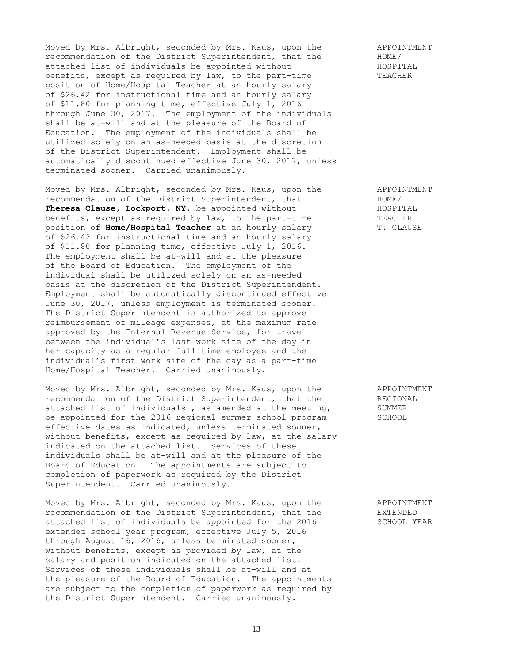Moved by Mrs. Albright, seconded by Mrs. Kaus, upon the APPOINTMENT<br>recommendation of the District Superintendent, that the HOME/ recommendation of the District Superintendent, that the  $HOME$ /<br>attached list of individuals be appointed without HOSPITAL attached list of individuals be appointed without benefits, except as required by law, to the part-time TEACHER position of Home/Hospital Teacher at an hourly salary of \$26.42 for instructional time and an hourly salary of \$11.80 for planning time, effective July 1, 2016 through June 30, 2017. The employment of the individuals shall be at-will and at the pleasure of the Board of Education. The employment of the individuals shall be utilized solely on an as-needed basis at the discretion of the District Superintendent. Employment shall be automatically discontinued effective June 30, 2017, unless terminated sooner. Carried unanimously.

Moved by Mrs. Albright, seconded by Mrs. Kaus, upon the APPOINTMENT<br>recommendation of the District Superintendent, that HOME HOME HOME<br>Theresa Clause, Lockport, NY, be appointed without HOSPITAL recommendation of the District Superintendent, that Theresa Clause, Lockport, NY, be appointed without Theresa Clause, **EUCAPOLI, NE**, we appoint to the part-time TEACHER<br>benefits, except as required by law, to the part-time TEACHER position of **Home/Hospital Teacher** at an hourly salary T. CLAUSE of \$26.42 for instructional time and an hourly salary of \$11.80 for planning time, effective July 1, 2016. The employment shall be at-will and at the pleasure of the Board of Education. The employment of the individual shall be utilized solely on an as-needed basis at the discretion of the District Superintendent. Employment shall be automatically discontinued effective June 30, 2017, unless employment is terminated sooner. The District Superintendent is authorized to approve reimbursement of mileage expenses, at the maximum rate approved by the Internal Revenue Service, for travel between the individual's last work site of the day in her capacity as a regular full-time employee and the individual's first work site of the day as a part-time Home/Hospital Teacher. Carried unanimously.

Moved by Mrs. Albright, seconded by Mrs. Kaus, upon the APPOINTMENT recommendation of the District Superintendent, that the REGIONAL attached list of individuals, as amended at the meeting, SUMMER attached list of individuals, as amended at the meeting, be appointed for the 2016 regional summer school program SCHOOL effective dates as indicated, unless terminated sooner, without benefits, except as required by law, at the salary indicated on the attached list. Services of these individuals shall be at-will and at the pleasure of the Board of Education. The appointments are subject to completion of paperwork as required by the District Superintendent. Carried unanimously.

Moved by Mrs. Albright, seconded by Mrs. Kaus, upon the APPOINTMENT recommendation of the District Superintendent, that the EXTENDED<br>attached list of individuals be appointed for the 2016 SCHOOL YEAR attached list of individuals be appointed for the 2016 extended school year program, effective July 5, 2016 through August 16, 2016, unless terminated sooner, without benefits, except as provided by law, at the salary and position indicated on the attached list. Services of these individuals shall be at-will and at the pleasure of the Board of Education. The appointments are subject to the completion of paperwork as required by the District Superintendent. Carried unanimously.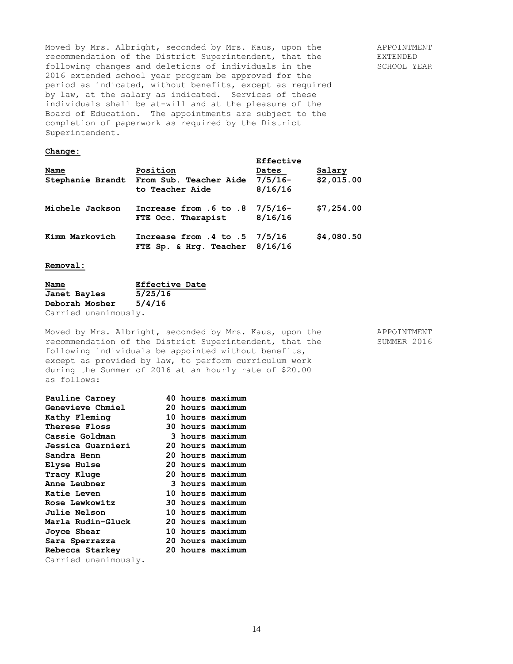Moved by Mrs. Albright, seconded by Mrs. Kaus, upon the APPOINTMENT recommendation of the District Superintendent, that the EXTENDED following changes and deletions of individuals in the SCHOOL YEAR 2016 extended school year program be approved for the period as indicated, without benefits, except as required by law, at the salary as indicated. Services of these individuals shall be at-will and at the pleasure of the Board of Education. The appointments are subject to the completion of paperwork as required by the District Superintendent.

# **Change:**

| Name<br>Stephanie Brandt | Position<br>From Sub. Teacher Aide<br>to Teacher Aide               | Effective<br><b>Dates</b><br>$7/5/16-$<br>8/16/16 | Salary<br>\$2,015.00 |
|--------------------------|---------------------------------------------------------------------|---------------------------------------------------|----------------------|
| Michele Jackson          | Increase from .6 to .8<br>FTE Occ. Therapist                        | $7/5/16-$<br>8/16/16                              | \$7,254.00           |
| Kimm Markovich           | Increase from $.4$ to $.5$ 7/5/16<br>FTE Sp. & Hrg. Teacher 8/16/16 |                                                   | \$4,080.50           |

### **Removal:**

| Name           |                      | <b>Effective Date</b> |  |
|----------------|----------------------|-----------------------|--|
| Janet Bayles   |                      | 5/25/16               |  |
| Deborah Mosher |                      | 5/4/16                |  |
|                | Carried unanimously. |                       |  |

Moved by Mrs. Albright, seconded by Mrs. Kaus, upon the APPOINTMENT recommendation of the District Superintendent, that the SUMMER 2016 following individuals be appointed without benefits, except as provided by law, to perform curriculum work during the Summer of 2016 at an hourly rate of \$20.00 as follows:

|  | 3 hours maximum                                                                                                                                                                                                                                                                                          |
|--|----------------------------------------------------------------------------------------------------------------------------------------------------------------------------------------------------------------------------------------------------------------------------------------------------------|
|  |                                                                                                                                                                                                                                                                                                          |
|  |                                                                                                                                                                                                                                                                                                          |
|  |                                                                                                                                                                                                                                                                                                          |
|  |                                                                                                                                                                                                                                                                                                          |
|  | 3 hours maximum                                                                                                                                                                                                                                                                                          |
|  |                                                                                                                                                                                                                                                                                                          |
|  |                                                                                                                                                                                                                                                                                                          |
|  |                                                                                                                                                                                                                                                                                                          |
|  |                                                                                                                                                                                                                                                                                                          |
|  |                                                                                                                                                                                                                                                                                                          |
|  |                                                                                                                                                                                                                                                                                                          |
|  |                                                                                                                                                                                                                                                                                                          |
|  |                                                                                                                                                                                                                                                                                                          |
|  | 40 hours maximum<br>20 hours maximum<br>10 hours maximum<br>30 hours maximum<br>20 hours maximum<br>20 hours maximum<br>20 hours maximum<br>20 hours maximum<br>10 hours maximum<br>30 hours maximum<br>10 hours maximum<br>20 hours maximum<br>10 hours maximum<br>20 hours maximum<br>20 hours maximum |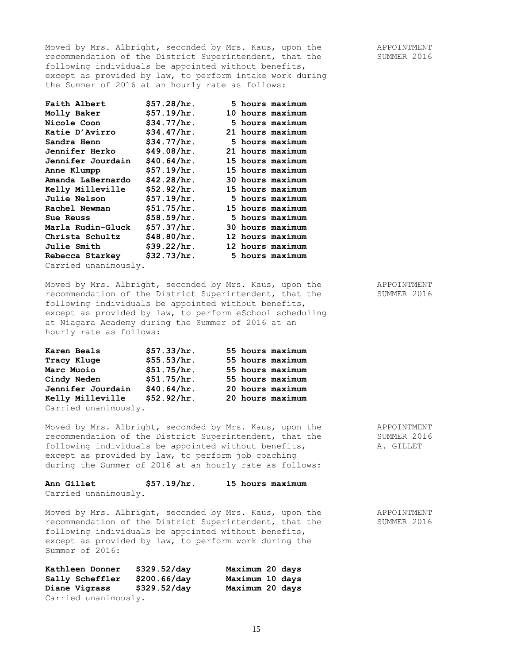Moved by Mrs. Albright, seconded by Mrs. Kaus, upon the APPOINTMENT recommendation of the District Superintendent, that the SUMMER 2016 following individuals be appointed without benefits, except as provided by law, to perform intake work during the Summer of 2016 at an hourly rate as follows:

| Faith Albert         | \$57.28/hr. |  | 5 hours maximum  |
|----------------------|-------------|--|------------------|
| Molly Baker          | \$57.19/hr. |  | 10 hours maximum |
| Nicole Coon          | \$34.77/hr. |  | 5 hours maximum  |
| Katie D'Avirro       | \$34.47/hr. |  | 21 hours maximum |
| Sandra Henn          | \$34.77/hr. |  | 5 hours maximum  |
| Jennifer Herko       | \$49.08/hr. |  | 21 hours maximum |
| Jennifer Jourdain    | \$40.64/hr. |  | 15 hours maximum |
| Anne Klumpp          | \$57.19/hr. |  | 15 hours maximum |
| Amanda LaBernardo    | \$42.28/hr. |  | 30 hours maximum |
| Kelly Milleville     | \$52.92/hr. |  | 15 hours maximum |
| <b>Julie Nelson</b>  | \$57.19/hr. |  | 5 hours maximum  |
| Rachel Newman        | \$51.75/hr. |  | 15 hours maximum |
| Sue Reuss            | \$58.59/hr. |  | 5 hours maximum  |
| Marla Rudin-Gluck    | \$57.37/hr. |  | 30 hours maximum |
| Christa Schultz      | \$48.80/hr. |  | 12 hours maximum |
| <b>Julie Smith</b>   | \$39.22/hr. |  | 12 hours maximum |
| Rebecca Starkey      | \$32.73/hr. |  | 5 hours maximum  |
| Carried unanimously. |             |  |                  |

Moved by Mrs. Albright, seconded by Mrs. Kaus, upon the APPOINTMENT recommendation of the District Superintendent, that the SUMMER 2016 following individuals be appointed without benefits, except as provided by law, to perform eSchool scheduling at Niagara Academy during the Summer of 2016 at an hourly rate as follows:

| Karen Beals          | \$57.33/hr. |  | 55 hours maximum |
|----------------------|-------------|--|------------------|
| Tracy Kluge          | \$55.53/hr. |  | 55 hours maximum |
| Marc Muoio           | \$51.75/hr. |  | 55 hours maximum |
| Cindy Neden          | \$51.75/hr. |  | 55 hours maximum |
| Jennifer Jourdain    | \$40.64/hr. |  | 20 hours maximum |
| Kelly Milleville     | \$52.92/hr. |  | 20 hours maximum |
| Carried unanimously. |             |  |                  |

Moved by Mrs. Albright, seconded by Mrs. Kaus, upon the APPOINTMENT recommendation of the District Superintendent, that the SUMMER 2016 following individuals be appointed without benefits, A. GILLET except as provided by law, to perform job coaching during the Summer of 2016 at an hourly rate as follows:

**Ann Gillet \$57.19/hr. 15 hours maximum** Carried unanimously.

Moved by Mrs. Albright, seconded by Mrs. Kaus, upon the APPOINTMENT recommendation of the District Superintendent, that the SUMMER 2016 following individuals be appointed without benefits, except as provided by law, to perform work during the Summer of 2016:

| Kathleen Donner      | \$329.52/day | Maximum 20 days |  |
|----------------------|--------------|-----------------|--|
| Sally Scheffler      | \$200.66/day | Maximum 10 days |  |
| Diane Vigrass        | \$329.52/day | Maximum 20 days |  |
| Carried unanimously. |              |                 |  |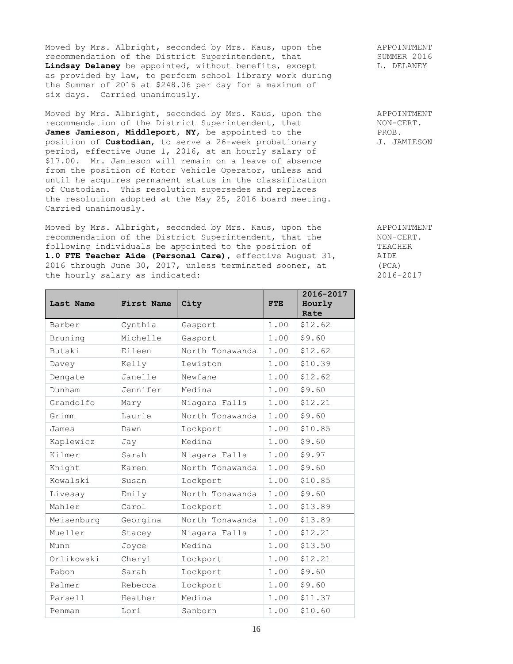Moved by Mrs. Albright, seconded by Mrs. Kaus, upon the APPOINTMENT<br>recommendation of the District Superintendent, that SUMMER 2016 recommendation of the District Superintendent, that SUMMER 2016<br> **Lindsay Delaney** be appointed, without benefits, except L. DELANEY Lindsay Delaney be appointed, without benefits, except as provided by law, to perform school library work during the Summer of 2016 at \$248.06 per day for a maximum of six days. Carried unanimously.

Moved by Mrs. Albright, seconded by Mrs. Kaus, upon the APPOINTMENT recommendation of the District Superintendent, that NON-CERT. James Jamieson, Middleport, NY, be appointed to the PROB.<br>
position of Custodian, to serve a 26-week probationary J. JAMIESON position of **Custodian**, to serve a 26-week probationary period, effective June 1, 2016, at an hourly salary of \$17.00. Mr. Jamieson will remain on a leave of absence from the position of Motor Vehicle Operator, unless and until he acquires permanent status in the classification of Custodian. This resolution supersedes and replaces the resolution adopted at the May 25, 2016 board meeting. Carried unanimously.

Moved by Mrs. Albright, seconded by Mrs. Kaus, upon the APPOINTMENT recommendation of the District Superintendent, that the NON-CERT. following individuals be appointed to the position of TEACHER **1.0 FTE Teacher Aide (Personal Care),** effective August 31, AIDE 2016 through June 30, 2017, unless terminated sooner, at (PCA) the hourly salary as indicated: 2016-2017

| Last Name  | First Name | City            | <b>FTE</b> | 2016-2017<br>Hourly<br>Rate |
|------------|------------|-----------------|------------|-----------------------------|
| Barber     | Cynthia    | Gasport         | 1.00       | \$12.62                     |
| Bruning    | Michelle   | Gasport         | 1.00       | \$9.60                      |
| Butski     | Eileen     | North Tonawanda | 1.00       | \$12.62                     |
| Davey      | Kelly      | Lewiston        | 1.00       | \$10.39                     |
| Dengate    | Janelle    | Newfane         | 1.00       | \$12.62                     |
| Dunham     | Jennifer   | Medina          | 1.00       | \$9.60                      |
| Grandolfo  | Mary       | Niagara Falls   | 1.00       | \$12.21                     |
| Grimm      | Laurie     | North Tonawanda | 1.00       | \$9.60                      |
| James      | Dawn       | Lockport        | 1.00       | \$10.85                     |
| Kaplewicz  | Jay        | Medina          | 1.00       | \$9.60                      |
| Kilmer     | Sarah      | Niagara Falls   | 1.00       | \$9.97                      |
| Knight     | Karen      | North Tonawanda | 1.00       | \$9.60                      |
| Kowalski   | Susan      | Lockport        | 1.00       | \$10.85                     |
| Livesay    | Emily      | North Tonawanda | 1.00       | \$9.60                      |
| Mahler     | Carol      | Lockport        | 1.00       | \$13.89                     |
| Meisenburg | Georgina   | North Tonawanda | 1.00       | \$13.89                     |
| Mueller    | Stacey     | Niagara Falls   | 1.00       | \$12.21                     |
| Munn       | Joyce      | Medina          | 1.00       | \$13.50                     |
| Orlikowski | Cheryl     | Lockport        | 1.00       | \$12.21                     |
| Pabon      | Sarah      | Lockport        | 1.00       | \$9.60                      |
| Palmer     | Rebecca    | Lockport        | 1.00       | \$9.60                      |
| Parsell    | Heather    | Medina          | 1.00       | \$11.37                     |
| Penman     | Lori       | Sanborn         | 1.00       | \$10.60                     |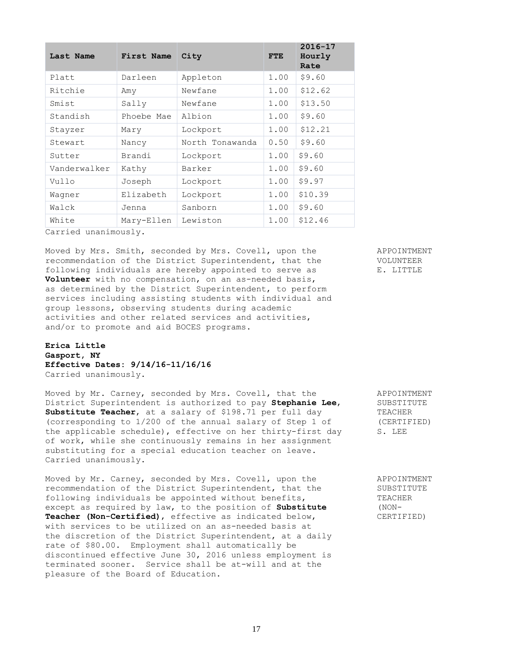| Last Name    | First Name | City            | <b>FTE</b> | $2016 - 17$<br>Hourly<br>Rate |
|--------------|------------|-----------------|------------|-------------------------------|
| Platt        | Darleen    | Appleton        | 1.00       | \$9.60                        |
| Ritchie      | Amy        | Newfane         | 1.00       | \$12.62                       |
| Smist        | Sally      | Newfane         | 1.00       | \$13.50                       |
| Standish     | Phoebe Mae | Albion          | 1.00       | \$9.60                        |
| Stayzer      | Mary       | Lockport        | 1.00       | \$12.21                       |
| Stewart      | Nancy      | North Tonawanda | 0.50       | \$9.60                        |
| Sutter       | Brandi     | Lockport        | 1.00       | \$9.60                        |
| Vanderwalker | Kathy      | Barker          | 1.00       | \$9.60                        |
| Vullo        | Joseph     | Lockport        | 1.00       | \$9.97                        |
| Wagner       | Elizabeth  | Lockport        | 1.00       | \$10.39                       |
| Walck        | Jenna      | Sanborn         | 1.00       | \$9.60                        |
| White        | Mary-Ellen | Lewiston        | 1.00       | \$12.46                       |

Carried unanimously.

Moved by Mrs. Smith, seconded by Mrs. Covell, upon the APPOINTMENT recommendation of the District Superintendent, that the VOLUNTEER following individuals are hereby appointed to serve as F. LITTLE **Volunteer** with no compensation, on an as-needed basis, as determined by the District Superintendent, to perform services including assisting students with individual and group lessons, observing students during academic activities and other related services and activities, and/or to promote and aid BOCES programs.

**Erica Little Gasport, NY Effective Dates: 9/14/16-11/16/16** Carried unanimously.

Moved by Mr. Carney, seconded by Mrs. Covell, that the APPOINTMENT District Superintendent is authorized to pay **Stephanie Lee**, SUBSTITUTE **Substitute Teacher,** at a salary of \$198.71 per full day TEACHER (corresponding to 1/200 of the annual salary of Step 1 of (CERTIFIED) the applicable schedule), effective on her thirty-first day S. LEE of work, while she continuously remains in her assignment substituting for a special education teacher on leave. Carried unanimously.

Moved by Mr. Carney, seconded by Mrs. Covell, upon the APPOINTMENT recommendation of the District Superintendent, that the SUBSTITUTE following individuals be appointed without benefits, TEACHER except as required by law, to the position of **Substitute** (NON-**Teacher (Non-Certified)**, effective as indicated below, CERTIFIED) with services to be utilized on an as-needed basis at the discretion of the District Superintendent, at a daily rate of \$80.00. Employment shall automatically be discontinued effective June 30, 2016 unless employment is terminated sooner. Service shall be at-will and at the pleasure of the Board of Education.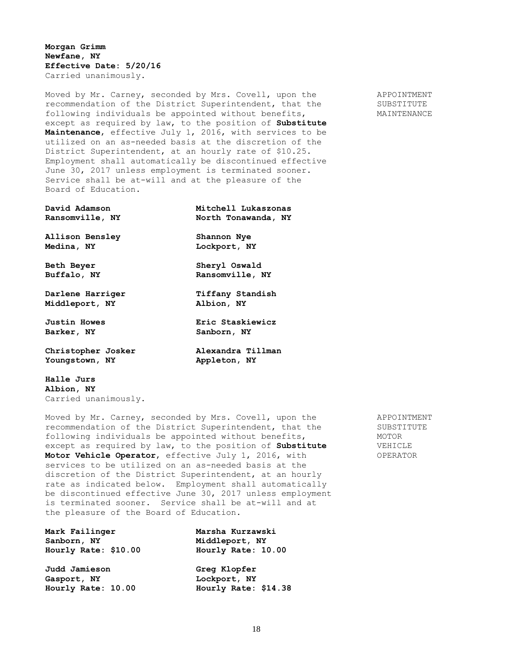**Morgan Grimm Newfane, NY Effective Date: 5/20/16** Carried unanimously.

Moved by Mr. Carney, seconded by Mrs. Covell, upon the APPOINTMENT recommendation of the District Superintendent, that the SUBSTITUTE following individuals be appointed without benefits, MAINTENANCE except as required by law, to the position of **Substitute Maintenance**, effective July 1, 2016, with services to be utilized on an as-needed basis at the discretion of the District Superintendent, at an hourly rate of \$10.25. Employment shall automatically be discontinued effective June 30, 2017 unless employment is terminated sooner. Service shall be at-will and at the pleasure of the Board of Education.

| David Adamson          | Mitchell Lukaszonas |
|------------------------|---------------------|
| Ransomville, NY        | North Tonawanda, NY |
| <b>Allison Bensley</b> | Shannon Nye         |
| Medina, NY             | Lockport, NY        |
| <b>Beth Beyer</b>      | Sheryl Oswald       |
| Buffalo, NY            | Ransomville, NY     |
| Darlene Harriger       | Tiffany Standish    |
| Middleport, NY         | Albion, NY          |
| <b>Justin Howes</b>    | Eric Staskiewicz    |
| Barker, NY             | Sanborn, NY         |
| Christopher Josker     | Alexandra Tillman   |
| Youngstown, NY         | Appleton, NY        |
|                        |                     |

**Halle Jurs Albion, NY** Carried unanimously.

Moved by Mr. Carney, seconded by Mrs. Covell, upon the APPOINTMENT recommendation of the District Superintendent, that the SUBSTITUTE following individuals be appointed without benefits,  $MOTOR$ except as required by law, to the position of **Substitute** VEHICLE Motor Vehicle Operator, effective July 1, 2016, with OPERATOR services to be utilized on an as-needed basis at the discretion of the District Superintendent, at an hourly rate as indicated below. Employment shall automatically be discontinued effective June 30, 2017 unless employment is terminated sooner. Service shall be at-will and at the pleasure of the Board of Education.

| Mark Failinger       | Marsha Kurzawski     |
|----------------------|----------------------|
| Sanborn, NY          | Middleport, NY       |
| Hourly Rate: \$10.00 | Hourly Rate: 10.00   |
| Judd Jamieson        | Greg Klopfer         |
| Gasport, NY          | Lockport, NY         |
| Hourly Rate: 10.00   | Hourly Rate: \$14.38 |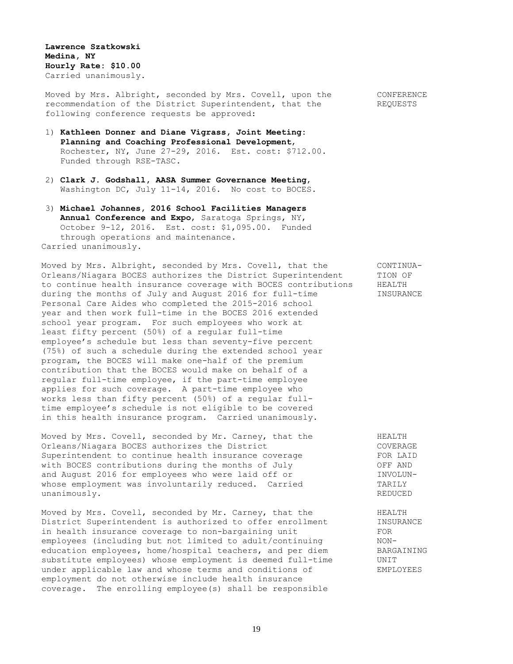**Lawrence Szatkowski Medina, NY Hourly Rate: \$10.00** Carried unanimously.

Moved by Mrs. Albright, seconded by Mrs. Covell, upon the CONFERENCE recommendation of the District Superintendent, that the REQUESTS following conference requests be approved:

- 1) **Kathleen Donner and Diane Vigrass, Joint Meeting: Planning and Coaching Professional Development**, Rochester, NY, June 27-29, 2016. Est. cost: \$712.00. Funded through RSE-TASC.
- 2) **Clark J. Godshall, AASA Summer Governance Meeting**, Washington DC, July 11-14, 2016. No cost to BOCES.
- 3) **Michael Johannes, 2016 School Facilities Managers Annual Conference and Expo**, Saratoga Springs, NY, October 9-12, 2016. Est. cost: \$1,095.00. Funded through operations and maintenance. Carried unanimously.

Moved by Mrs. Albright, seconded by Mrs. Covell, that the CONTINUA-Orleans/Niagara BOCES authorizes the District Superintendent TION OF to continue health insurance coverage with BOCES contributions HEALTH during the months of July and August 2016 for full-time **INSURANCE** Personal Care Aides who completed the 2015-2016 school year and then work full-time in the BOCES 2016 extended school year program. For such employees who work at least fifty percent (50%) of a regular full-time employee's schedule but less than seventy-five percent (75%) of such a schedule during the extended school year program, the BOCES will make one-half of the premium contribution that the BOCES would make on behalf of a regular full-time employee, if the part-time employee applies for such coverage. A part-time employee who works less than fifty percent (50%) of a regular fulltime employee's schedule is not eligible to be covered in this health insurance program. Carried unanimously.

Moved by Mrs. Covell, seconded by Mr. Carney, that the  $HELITH$ Orleans/Niagara BOCES authorizes the District COVERAGE COVERAGE Superintendent to continue health insurance coverage FOR LAID Superintendent to continue health insurance coverage with BOCES contributions during the months of July **OFF AND** and August 2016 for employees who were laid off or TNVOLUNwhose employment was involuntarily reduced. Carried TARILY unanimously. Research that the set of the set of the set of the set of the set of the set of the set of the set of the set of the set of the set of the set of the set of the set of the set of the set of the set of the set

Moved by Mrs. Covell, seconded by Mr. Carney, that the  $HELITH$ District Superintendent is authorized to offer enrollment TNSURANCE in health insurance coverage to non-bargaining unit FOR FOR<br>employees (including but not limited to adult/continuing MONemployees (including but not limited to adult/continuing education employees, home/hospital teachers, and per diem BARGAINING substitute employees) whose employment is deemed full-time UNIT under applicable law and whose terms and conditions of EMPLOYEES employment do not otherwise include health insurance coverage. The enrolling employee(s) shall be responsible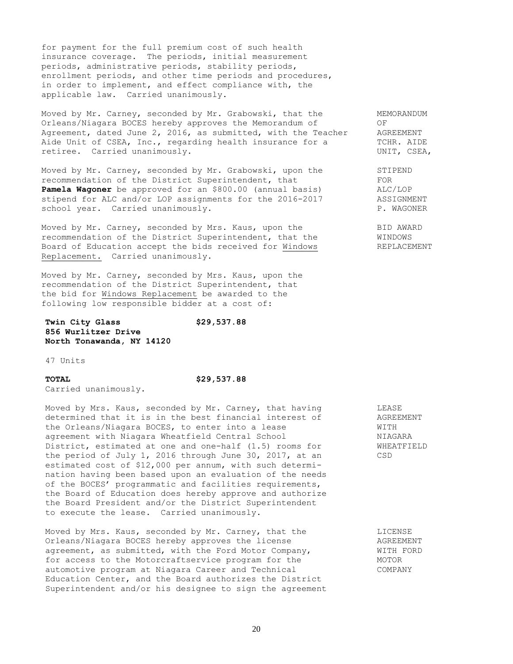for payment for the full premium cost of such health insurance coverage. The periods, initial measurement periods, administrative periods, stability periods, enrollment periods, and other time periods and procedures, in order to implement, and effect compliance with, the applicable law. Carried unanimously.

Moved by Mr. Carney, seconded by Mr. Grabowski, that the MEMORANDUM Orleans/Niagara BOCES hereby approves the Memorandum of OF OF ORREEMENT<br>Agreement, dated June 2, 2016, as submitted, with the Teacher AGREEMENT Agreement, dated June 2, 2016, as submitted, with the Teacher Aide Unit of CSEA, Inc., regarding health insurance for a TCHR. AIDE retiree. Carried unanimously. The contraction of the contraction of the contraction of the contraction of the contraction of the contraction of the contraction of the contraction of the contraction of the contraction of th

Moved by Mr. Carney, seconded by Mr. Grabowski, upon the STIPEND recommendation of the District Superintendent, that FOR **Pamela Wagoner** be approved for an \$800.00 (annual basis) ALC/LOP stipend for ALC and/or LOP assignments for the 2016-2017 ASSIGNMENT stipend for ALC and/or LOP assignments for the 2016-2017 school year. Carried unanimously. The contract of the property of the property of the property of the property of the property of the property of the property of the property of the property of the property of the property

Moved by Mr. Carney, seconded by Mrs. Kaus, upon the BID AWARD recommendation of the District Superintendent, that the WINDOWS Board of Education accept the bids received for Windows REPLACEMENT Replacement. Carried unanimously.

Moved by Mr. Carney, seconded by Mrs. Kaus, upon the recommendation of the District Superintendent, that the bid for Windows Replacement be awarded to the following low responsible bidder at a cost of:

## **Twin City Glass \$29,537.88 856 Wurlitzer Drive North Tonawanda, NY 14120**

47 Units

### **TOTAL \$29,537.88**

Carried unanimously.

Moved by Mrs. Kaus, seconded by Mr. Carney, that having THEASE determined that it is in the best financial interest of AGREEMENT the Orleans/Niagara BOCES, to enter into a lease WITH agreement with Niagara Wheatfield Central School NIAGARA District, estimated at one and one-half (1.5) rooms for WHEATFIELD the period of July 1, 2016 through June 30, 2017, at an CSD estimated cost of \$12,000 per annum, with such determination having been based upon an evaluation of the needs of the BOCES' programmatic and facilities requirements, the Board of Education does hereby approve and authorize the Board President and/or the District Superintendent to execute the lease. Carried unanimously.

Moved by Mrs. Kaus, seconded by Mr. Carney, that the Elicense Orleans/Niagara BOCES hereby approves the license AGREEMENT agreement, as submitted, with the Ford Motor Company, WITH FORD for access to the Motorcraftservice program for the MOTOR automotive program at Niagara Career and Technical COMPANY Education Center, and the Board authorizes the District Superintendent and/or his designee to sign the agreement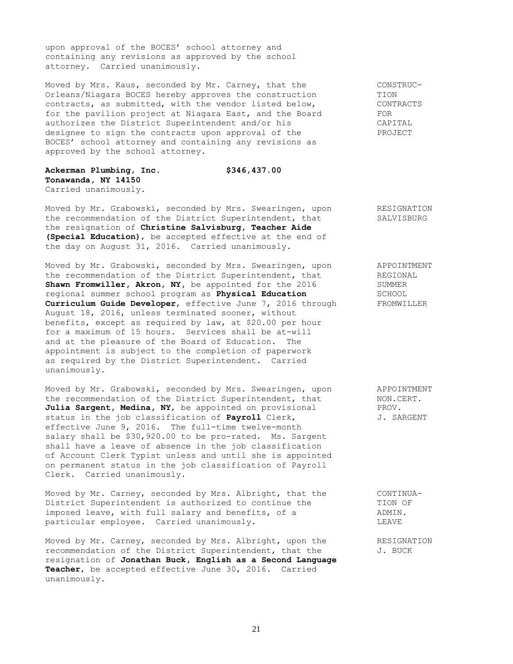upon approval of the BOCES' school attorney and containing any revisions as approved by the school attorney. Carried unanimously.

Moved by Mrs. Kaus, seconded by Mr. Carney, that the CONSTRUC-Orleans/Niagara BOCES hereby approves the construction TION contracts, as submitted, with the vendor listed below, CONTRACTS for the pavilion project at Niagara East, and the Board FOR authorizes the District Superintendent and/or his CAPITAL designee to sign the contracts upon approval of the PROJECT BOCES' school attorney and containing any revisions as approved by the school attorney.

**Ackerman Plumbing, Inc. \$346,437.00 Tonawanda, NY 14150** Carried unanimously.

Moved by Mr. Grabowski, seconded by Mrs. Swearingen, upon RESIGNATION the recommendation of the District Superintendent, that SALVISBURG the resignation of **Christine Salvisburg, Teacher Aide (Special Education)**, be accepted effective at the end of the day on August 31, 2016. Carried unanimously.

Moved by Mr. Grabowski, seconded by Mrs. Swearingen, upon appoint APPOINTMENT<br>the recommendation of the District Superintendent, that and REGIONAL the recommendation of the District Superintendent, that REGIONAL REGION Shawn Fromwiller, Akron, NY, be appointed for the 2016 regional summer school program as **Physical Education** SCHOOL **Curriculum Guide Developer**, effective June 7, 2016 through FROMWILLER August 18, 2016, unless terminated sooner, without benefits, except as required by law, at \$20.00 per hour for a maximum of 15 hours. Services shall be at-will and at the pleasure of the Board of Education. The appointment is subject to the completion of paperwork as required by the District Superintendent. Carried unanimously.

Moved by Mr. Grabowski, seconded by Mrs. Swearingen, upon APPOINTMENT<br>the recommendation of the District Superintendent, that MON.CERT. the recommendation of the District Superintendent, that MON.C<br> **Julia Sargent, Medina, NY**, be appointed on provisional PROV. Julia Sargent, Medina, NY, be appointed on provisional status in the job classification of **Payroll** Clerk,  $J.$  SARGENT effective June 9, 2016. The full-time twelve-month salary shall be \$30,920.00 to be pro-rated. Ms. Sargent shall have a leave of absence in the job classification of Account Clerk Typist unless and until she is appointed on permanent status in the job classification of Payroll Clerk. Carried unanimously.

Moved by Mr. Carney, seconded by Mrs. Albright, that the CONTINUA-District Superintendent is authorized to continue the TION OF imposed leave, with full salary and benefits, of a  $\blacksquare$  ADMIN. particular employee. Carried unanimously. LEAVE

Moved by Mr. Carney, seconded by Mrs. Albright, upon the RESIGNATION recommendation of the District Superintendent, that the  $J.$  BUCK resignation of **Jonathan Buck, English as a Second Language Teacher**, be accepted effective June 30, 2016. Carried unanimously.